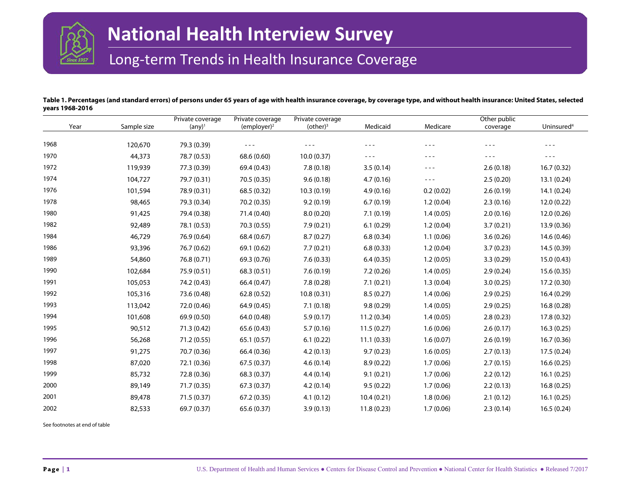

# Long-term Trends in Health Insurance Coverage

## **Table 1. Percentages (and standard errors) of persons under 65 years of age with health insurance coverage, by coverage type, and without health insurance: United States, selected years 1968-2016**

|      |             | Private coverage | Private coverage | Private coverage |            |           | Other public |                        |
|------|-------------|------------------|------------------|------------------|------------|-----------|--------------|------------------------|
| Year | Sample size | $(\text{any})^1$ | $(employer)^2$   | $(other)^3$      | Medicaid   | Medicare  | coverage     | Uninsured <sup>4</sup> |
| 1968 | 120,670     | 79.3 (0.39)      | $- - -$          | $- - -$          |            | $- - -$   | $- - -$      | $- - -$                |
| 1970 | 44,373      | 78.7 (0.53)      | 68.6 (0.60)      | 10.0(0.37)       | $- - -$    | $- - -$   | $- - -$      | $- - -$                |
| 1972 | 119,939     | 77.3 (0.39)      | 69.4 (0.43)      | 7.8(0.18)        | 3.5(0.14)  | $- - -$   | 2.6(0.18)    | 16.7(0.32)             |
| 1974 | 104,727     | 79.7 (0.31)      | 70.5 (0.35)      | 9.6(0.18)        | 4.7(0.16)  | $- - -$   | 2.5(0.20)    | 13.1(0.24)             |
| 1976 | 101,594     | 78.9 (0.31)      | 68.5 (0.32)      | 10.3(0.19)       | 4.9(0.16)  | 0.2(0.02) | 2.6(0.19)    | 14.1(0.24)             |
| 1978 | 98,465      | 79.3 (0.34)      | 70.2 (0.35)      | 9.2(0.19)        | 6.7(0.19)  | 1.2(0.04) | 2.3(0.16)    | 12.0(0.22)             |
| 1980 | 91,425      | 79.4 (0.38)      | 71.4 (0.40)      | 8.0(0.20)        | 7.1(0.19)  | 1.4(0.05) | 2.0(0.16)    | 12.0(0.26)             |
| 1982 | 92,489      | 78.1 (0.53)      | 70.3 (0.55)      | 7.9(0.21)        | 6.1(0.29)  | 1.2(0.04) | 3.7(0.21)    | 13.9 (0.36)            |
| 1984 | 46,729      | 76.9 (0.64)      | 68.4 (0.67)      | 8.7(0.27)        | 6.8(0.34)  | 1.1(0.06) | 3.6(0.26)    | 14.6 (0.46)            |
| 1986 | 93,396      | 76.7 (0.62)      | 69.1 (0.62)      | 7.7(0.21)        | 6.8(0.33)  | 1.2(0.04) | 3.7(0.23)    | 14.5 (0.39)            |
| 1989 | 54,860      | 76.8 (0.71)      | 69.3 (0.76)      | 7.6(0.33)        | 6.4(0.35)  | 1.2(0.05) | 3.3(0.29)    | 15.0(0.43)             |
| 1990 | 102,684     | 75.9 (0.51)      | 68.3(0.51)       | 7.6(0.19)        | 7.2(0.26)  | 1.4(0.05) | 2.9(0.24)    | 15.6(0.35)             |
| 1991 | 105,053     | 74.2 (0.43)      | 66.4 (0.47)      | 7.8(0.28)        | 7.1(0.21)  | 1.3(0.04) | 3.0(0.25)    | 17.2 (0.30)            |
| 1992 | 105,316     | 73.6 (0.48)      | 62.8(0.52)       | 10.8(0.31)       | 8.5(0.27)  | 1.4(0.06) | 2.9(0.25)    | 16.4(0.29)             |
| 1993 | 113,042     | 72.0 (0.46)      | 64.9 (0.45)      | 7.1(0.18)        | 9.8(0.29)  | 1.4(0.05) | 2.9(0.25)    | 16.8(0.28)             |
| 1994 | 101,608     | 69.9 (0.50)      | 64.0 (0.48)      | 5.9(0.17)        | 11.2(0.34) | 1.4(0.05) | 2.8(0.23)    | 17.8 (0.32)            |
| 1995 | 90,512      | 71.3(0.42)       | 65.6(0.43)       | 5.7(0.16)        | 11.5(0.27) | 1.6(0.06) | 2.6(0.17)    | 16.3(0.25)             |
| 1996 | 56,268      | 71.2 (0.55)      | 65.1(0.57)       | 6.1(0.22)        | 11.1(0.33) | 1.6(0.07) | 2.6(0.19)    | 16.7(0.36)             |
| 1997 | 91,275      | 70.7 (0.36)      | 66.4 (0.36)      | 4.2(0.13)        | 9.7(0.23)  | 1.6(0.05) | 2.7(0.13)    | 17.5 (0.24)            |
| 1998 | 87,020      | 72.1 (0.36)      | 67.5(0.37)       | 4.6(0.14)        | 8.9(0.22)  | 1.7(0.06) | 2.7(0.15)    | 16.6(0.25)             |
| 1999 | 85,732      | 72.8 (0.36)      | 68.3 (0.37)      | 4.4(0.14)        | 9.1(0.21)  | 1.7(0.06) | 2.2(0.12)    | 16.1(0.25)             |
| 2000 | 89,149      | 71.7 (0.35)      | 67.3(0.37)       | 4.2(0.14)        | 9.5(0.22)  | 1.7(0.06) | 2.2(0.13)    | 16.8(0.25)             |
| 2001 | 89,478      | 71.5(0.37)       | 67.2(0.35)       | 4.1(0.12)        | 10.4(0.21) | 1.8(0.06) | 2.1(0.12)    | 16.1(0.25)             |
| 2002 | 82,533      | 69.7 (0.37)      | 65.6 (0.37)      | 3.9(0.13)        | 11.8(0.23) | 1.7(0.06) | 2.3(0.14)    | 16.5(0.24)             |

See footnotes at end of table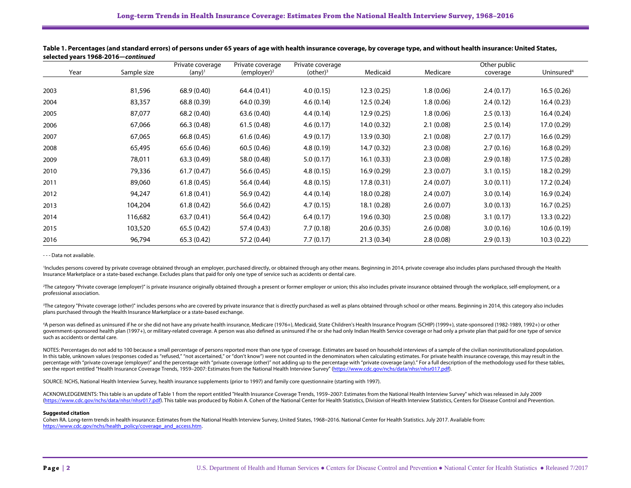|      |             | Private coverage | Private coverage | Private coverage |             |            | Other public |                        |
|------|-------------|------------------|------------------|------------------|-------------|------------|--------------|------------------------|
| Year | Sample size | $(\text{any})^1$ | $(employer)^2$   | $(other)^3$      | Medicaid    | Medicare   | coverage     | Uninsured <sup>4</sup> |
|      |             |                  |                  |                  |             |            |              |                        |
| 2003 | 81,596      | 68.9 (0.40)      | 64.4 (0.41)      | 4.0(0.15)        | 12.3(0.25)  | 1.8(0.06)  | 2.4(0.17)    | 16.5(0.26)             |
| 2004 | 83,357      | 68.8 (0.39)      | 64.0 (0.39)      | 4.6(0.14)        | 12.5(0.24)  | 1.8(0.06)  | 2.4(0.12)    | 16.4(0.23)             |
| 2005 | 87,077      | 68.2 (0.40)      | 63.6 (0.40)      | 4.4(0.14)        | 12.9(0.25)  | 1.8 (0.06) | 2.5(0.13)    | 16.4(0.24)             |
| 2006 | 67,066      | 66.3 (0.48)      | 61.5(0.48)       | 4.6(0.17)        | 14.0(0.32)  | 2.1(0.08)  | 2.5(0.14)    | 17.0 (0.29)            |
| 2007 | 67,065      | 66.8(0.45)       | 61.6(0.46)       | 4.9(0.17)        | 13.9(0.30)  | 2.1(0.08)  | 2.7(0.17)    | 16.6(0.29)             |
| 2008 | 65,495      | 65.6 (0.46)      | 60.5(0.46)       | 4.8(0.19)        | 14.7(0.32)  | 2.3(0.08)  | 2.7(0.16)    | 16.8(0.29)             |
| 2009 | 78,011      | 63.3(0.49)       | 58.0 (0.48)      | 5.0(0.17)        | 16.1(0.33)  | 2.3(0.08)  | 2.9(0.18)    | 17.5 (0.28)            |
| 2010 | 79,336      | 61.7(0.47)       | 56.6 (0.45)      | 4.8(0.15)        | 16.9(0.29)  | 2.3(0.07)  | 3.1(0.15)    | 18.2 (0.29)            |
| 2011 | 89,060      | 61.8(0.45)       | 56.4 (0.44)      | 4.8(0.15)        | 17.8(0.31)  | 2.4(0.07)  | 3.0(0.11)    | 17.2 (0.24)            |
| 2012 | 94,247      | 61.8(0.41)       | 56.9 (0.42)      | 4.4(0.14)        | 18.0 (0.28) | 2.4(0.07)  | 3.0(0.14)    | 16.9(0.24)             |
| 2013 | 104,204     | 61.8(0.42)       | 56.6 (0.42)      | 4.7(0.15)        | 18.1 (0.28) | 2.6(0.07)  | 3.0(0.13)    | 16.7(0.25)             |
| 2014 | 116,682     | 63.7(0.41)       | 56.4 (0.42)      | 6.4(0.17)        | 19.6 (0.30) | 2.5(0.08)  | 3.1(0.17)    | 13.3(0.22)             |
| 2015 | 103,520     | 65.5(0.42)       | 57.4 (0.43)      | 7.7(0.18)        | 20.6(0.35)  | 2.6(0.08)  | 3.0(0.16)    | 10.6(0.19)             |
| 2016 | 96,794      | 65.3 (0.42)      | 57.2 (0.44)      | 7.7(0.17)        | 21.3(0.34)  | 2.8(0.08)  | 2.9(0.13)    | 10.3(0.22)             |

## **Table 1. Percentages (and standard errors) of persons under 65 years of age with health insurance coverage, by coverage type, and without health insurance: United States, selected years 1968-2016—***continued*

- - - Data not available.

<sup>1</sup>Includes persons covered by private coverage obtained through an employer, purchased directly, or obtained through any other means. Beginning in 2014, private coverage also includes plans purchased through the Health Insurance Marketplace or a state-based exchange. Excludes plans that paid for only one type of service such as accidents or dental care.

<sup>2</sup>The category "Private coverage (employer)" is private insurance originally obtained through a present or former employer or union; this also includes private insurance obtained through the workplace, self-employment, or professional association.

The category "Private coverage (other)" includes persons who are covered by private insurance that is directly purchased as well as plans obtained through school or other means. Beginning in 2014, this category also includ plans purchased through the Health Insurance Marketplace or a state-based exchange.

4 A person was defined as uninsured if he or she did not have any private health insurance, Medicare (1976+), Medicaid, State Children's Health Insurance Program (SCHIP) (1999+), state-sponsored (1982-1989, 1992+) or other government-sponsored health plan (1997+), or military-related coverage. A person was also defined as uninsured if he or she had only Indian Health Service coverage or had only a private plan that paid for one type of service such as accidents or dental care.

NOTES: Percentages do not add to 100 because a small percentage of persons reported more than one type of coverage. Estimates are based on household interviews of a sample of the civilian noninstitutionalized population. In this table, unknown values (responses coded as "refused," "not ascertained," or "don't know") were not counted in the denominators when calculating estimates. For private health insurance coverage, this may result in th percentage with "private coverage (employer)" and the percentage with "private coverage (other)" not adding up to the percentage with "private coverage (any)." For a full description of the methodology used for these table see the report entitled "Health Insurance Coverage Trends, 1959-2007: Estimates from the National Health Interview Survey" [\(https://www.cdc.gov/nchs/data/nhsr/nhsr017.pdf\).](https://www.cdc.gov/nchs/data/nhsr/nhsr017.pdf)

SOURCE: NCHS, National Health Interview Survey, health insurance supplements (prior to 1997) and family core questionnaire (starting with 1997).

ACKNOWLEDGEMENTS: This table is an update of Table 1 from the report entitled "Health Insurance Coverage Trends, 1959–2007: Estimates from the National Health Interview Survey" which was released in July 2009 [\(https://www.cdc.gov/nchs/data/nhsr/nhsr017.pdf\).](https://www.cdc.gov/nchs/data/nhsr/nhsr017.pdf) This table was produced by Robin A. Cohen of the National Center for Health Statistics, Division of Health Interview Statistics, Centers for Disease Control and Prevention.

#### **Suggested citation**

Cohen RA. Long-term trends in health insurance: Estimates from the National Health Interview Survey, United States, 1968–2016. National Center for Health Statistics. July 2017. Available from: [https://www.cdc.gov/nchs/health\\_policy/coverage\\_and\\_access.htm.](https://www.cdc.gov/nchs/health_policy/coverage_and_access.htm)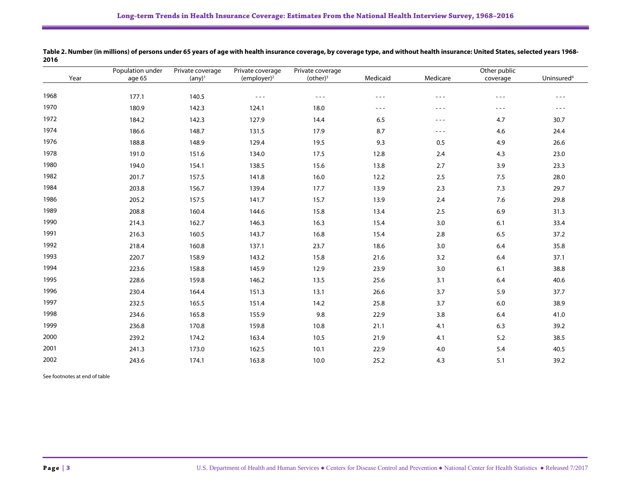|      | Population under | Private coverage | Private coverage                                                                                                                                                                                                                                                                                                                                                                             | Private coverage                                                                                                                                                                                                                                                                                                                                                                             | Other public                                                                                                                                                                                                                                                                                                                                                                                 |                                                                                                                                                                                                                                                                                                                                                                                              |                                                                                                                                                                                                                                                                                                                                                                                              |                                                                                                                                                                                                                                                                                                                                                                                              |  |
|------|------------------|------------------|----------------------------------------------------------------------------------------------------------------------------------------------------------------------------------------------------------------------------------------------------------------------------------------------------------------------------------------------------------------------------------------------|----------------------------------------------------------------------------------------------------------------------------------------------------------------------------------------------------------------------------------------------------------------------------------------------------------------------------------------------------------------------------------------------|----------------------------------------------------------------------------------------------------------------------------------------------------------------------------------------------------------------------------------------------------------------------------------------------------------------------------------------------------------------------------------------------|----------------------------------------------------------------------------------------------------------------------------------------------------------------------------------------------------------------------------------------------------------------------------------------------------------------------------------------------------------------------------------------------|----------------------------------------------------------------------------------------------------------------------------------------------------------------------------------------------------------------------------------------------------------------------------------------------------------------------------------------------------------------------------------------------|----------------------------------------------------------------------------------------------------------------------------------------------------------------------------------------------------------------------------------------------------------------------------------------------------------------------------------------------------------------------------------------------|--|
| Year | age 65           | $(\text{any})^1$ | $(employer)^2$                                                                                                                                                                                                                                                                                                                                                                               | $(other)^3$                                                                                                                                                                                                                                                                                                                                                                                  | Medicaid                                                                                                                                                                                                                                                                                                                                                                                     | Medicare                                                                                                                                                                                                                                                                                                                                                                                     | coverage                                                                                                                                                                                                                                                                                                                                                                                     | Uninsured <sup>4</sup>                                                                                                                                                                                                                                                                                                                                                                       |  |
| 1968 | 177.1            | 140.5            | $\frac{1}{2} \frac{1}{2} \frac{1}{2} \frac{1}{2} \frac{1}{2} \frac{1}{2} \frac{1}{2} \frac{1}{2} \frac{1}{2} \frac{1}{2} \frac{1}{2} \frac{1}{2} \frac{1}{2} \frac{1}{2} \frac{1}{2} \frac{1}{2} \frac{1}{2} \frac{1}{2} \frac{1}{2} \frac{1}{2} \frac{1}{2} \frac{1}{2} \frac{1}{2} \frac{1}{2} \frac{1}{2} \frac{1}{2} \frac{1}{2} \frac{1}{2} \frac{1}{2} \frac{1}{2} \frac{1}{2} \frac{$ | $\frac{1}{2} \frac{1}{2} \frac{1}{2} \frac{1}{2} \frac{1}{2} \frac{1}{2} \frac{1}{2} \frac{1}{2} \frac{1}{2} \frac{1}{2} \frac{1}{2} \frac{1}{2} \frac{1}{2} \frac{1}{2} \frac{1}{2} \frac{1}{2} \frac{1}{2} \frac{1}{2} \frac{1}{2} \frac{1}{2} \frac{1}{2} \frac{1}{2} \frac{1}{2} \frac{1}{2} \frac{1}{2} \frac{1}{2} \frac{1}{2} \frac{1}{2} \frac{1}{2} \frac{1}{2} \frac{1}{2} \frac{$ | $\frac{1}{2} \frac{1}{2} \frac{1}{2} \frac{1}{2} \frac{1}{2} \frac{1}{2} \frac{1}{2} \frac{1}{2} \frac{1}{2} \frac{1}{2} \frac{1}{2} \frac{1}{2} \frac{1}{2} \frac{1}{2} \frac{1}{2} \frac{1}{2} \frac{1}{2} \frac{1}{2} \frac{1}{2} \frac{1}{2} \frac{1}{2} \frac{1}{2} \frac{1}{2} \frac{1}{2} \frac{1}{2} \frac{1}{2} \frac{1}{2} \frac{1}{2} \frac{1}{2} \frac{1}{2} \frac{1}{2} \frac{$ | $- - -$                                                                                                                                                                                                                                                                                                                                                                                      | $\frac{1}{2} \frac{1}{2} \frac{1}{2} \frac{1}{2} \frac{1}{2} \frac{1}{2} \frac{1}{2} \frac{1}{2} \frac{1}{2} \frac{1}{2} \frac{1}{2} \frac{1}{2} \frac{1}{2} \frac{1}{2} \frac{1}{2} \frac{1}{2} \frac{1}{2} \frac{1}{2} \frac{1}{2} \frac{1}{2} \frac{1}{2} \frac{1}{2} \frac{1}{2} \frac{1}{2} \frac{1}{2} \frac{1}{2} \frac{1}{2} \frac{1}{2} \frac{1}{2} \frac{1}{2} \frac{1}{2} \frac{$ | $\frac{1}{2} \frac{1}{2} \frac{1}{2} \frac{1}{2} \frac{1}{2} \frac{1}{2} \frac{1}{2} \frac{1}{2} \frac{1}{2} \frac{1}{2} \frac{1}{2} \frac{1}{2} \frac{1}{2} \frac{1}{2} \frac{1}{2} \frac{1}{2} \frac{1}{2} \frac{1}{2} \frac{1}{2} \frac{1}{2} \frac{1}{2} \frac{1}{2} \frac{1}{2} \frac{1}{2} \frac{1}{2} \frac{1}{2} \frac{1}{2} \frac{1}{2} \frac{1}{2} \frac{1}{2} \frac{1}{2} \frac{$ |  |
| 1970 | 180.9            | 142.3            | 124.1                                                                                                                                                                                                                                                                                                                                                                                        | 18.0                                                                                                                                                                                                                                                                                                                                                                                         | $\frac{1}{2} \frac{1}{2} \frac{1}{2} \frac{1}{2} \frac{1}{2} \frac{1}{2} \frac{1}{2} \frac{1}{2} \frac{1}{2} \frac{1}{2} \frac{1}{2} \frac{1}{2} \frac{1}{2} \frac{1}{2} \frac{1}{2} \frac{1}{2} \frac{1}{2} \frac{1}{2} \frac{1}{2} \frac{1}{2} \frac{1}{2} \frac{1}{2} \frac{1}{2} \frac{1}{2} \frac{1}{2} \frac{1}{2} \frac{1}{2} \frac{1}{2} \frac{1}{2} \frac{1}{2} \frac{1}{2} \frac{$ | $\frac{1}{2} \frac{1}{2} \frac{1}{2} \frac{1}{2} \frac{1}{2} \frac{1}{2} \frac{1}{2} \frac{1}{2} \frac{1}{2} \frac{1}{2} \frac{1}{2} \frac{1}{2} \frac{1}{2} \frac{1}{2} \frac{1}{2} \frac{1}{2} \frac{1}{2} \frac{1}{2} \frac{1}{2} \frac{1}{2} \frac{1}{2} \frac{1}{2} \frac{1}{2} \frac{1}{2} \frac{1}{2} \frac{1}{2} \frac{1}{2} \frac{1}{2} \frac{1}{2} \frac{1}{2} \frac{1}{2} \frac{$ | $\frac{1}{2} \frac{1}{2} \frac{1}{2} \frac{1}{2} \frac{1}{2} \frac{1}{2} \frac{1}{2} \frac{1}{2} \frac{1}{2} \frac{1}{2} \frac{1}{2} \frac{1}{2} \frac{1}{2} \frac{1}{2} \frac{1}{2} \frac{1}{2} \frac{1}{2} \frac{1}{2} \frac{1}{2} \frac{1}{2} \frac{1}{2} \frac{1}{2} \frac{1}{2} \frac{1}{2} \frac{1}{2} \frac{1}{2} \frac{1}{2} \frac{1}{2} \frac{1}{2} \frac{1}{2} \frac{1}{2} \frac{$ | $\sim$ $\sim$ $\sim$                                                                                                                                                                                                                                                                                                                                                                         |  |
| 1972 | 184.2            | 142.3            | 127.9                                                                                                                                                                                                                                                                                                                                                                                        | 14.4                                                                                                                                                                                                                                                                                                                                                                                         | 6.5                                                                                                                                                                                                                                                                                                                                                                                          | $\frac{1}{2} \frac{1}{2} \frac{1}{2} \frac{1}{2} \frac{1}{2} \frac{1}{2} \frac{1}{2} \frac{1}{2} \frac{1}{2} \frac{1}{2} \frac{1}{2} \frac{1}{2} \frac{1}{2} \frac{1}{2} \frac{1}{2} \frac{1}{2} \frac{1}{2} \frac{1}{2} \frac{1}{2} \frac{1}{2} \frac{1}{2} \frac{1}{2} \frac{1}{2} \frac{1}{2} \frac{1}{2} \frac{1}{2} \frac{1}{2} \frac{1}{2} \frac{1}{2} \frac{1}{2} \frac{1}{2} \frac{$ | 4.7                                                                                                                                                                                                                                                                                                                                                                                          | 30.7                                                                                                                                                                                                                                                                                                                                                                                         |  |
| 1974 | 186.6            | 148.7            | 131.5                                                                                                                                                                                                                                                                                                                                                                                        | 17.9                                                                                                                                                                                                                                                                                                                                                                                         | 8.7                                                                                                                                                                                                                                                                                                                                                                                          | $\sim$ $ \sim$                                                                                                                                                                                                                                                                                                                                                                               | 4.6                                                                                                                                                                                                                                                                                                                                                                                          | 24.4                                                                                                                                                                                                                                                                                                                                                                                         |  |
| 1976 | 188.8            | 148.9            | 129.4                                                                                                                                                                                                                                                                                                                                                                                        | 19.5                                                                                                                                                                                                                                                                                                                                                                                         | 9.3                                                                                                                                                                                                                                                                                                                                                                                          | 0.5                                                                                                                                                                                                                                                                                                                                                                                          | 4.9                                                                                                                                                                                                                                                                                                                                                                                          | 26.6                                                                                                                                                                                                                                                                                                                                                                                         |  |
| 1978 | 191.0            | 151.6            | 134.0                                                                                                                                                                                                                                                                                                                                                                                        | 17.5                                                                                                                                                                                                                                                                                                                                                                                         | 12.8                                                                                                                                                                                                                                                                                                                                                                                         | 2.4                                                                                                                                                                                                                                                                                                                                                                                          | 4.3                                                                                                                                                                                                                                                                                                                                                                                          | 23.0                                                                                                                                                                                                                                                                                                                                                                                         |  |
| 1980 | 194.0            | 154.1            | 138.5                                                                                                                                                                                                                                                                                                                                                                                        | 15.6                                                                                                                                                                                                                                                                                                                                                                                         | 13.8                                                                                                                                                                                                                                                                                                                                                                                         | 2.7                                                                                                                                                                                                                                                                                                                                                                                          | 3.9                                                                                                                                                                                                                                                                                                                                                                                          | 23.3                                                                                                                                                                                                                                                                                                                                                                                         |  |
| 1982 | 201.7            | 157.5            | 141.8                                                                                                                                                                                                                                                                                                                                                                                        | 16.0                                                                                                                                                                                                                                                                                                                                                                                         | 12.2                                                                                                                                                                                                                                                                                                                                                                                         | 2.5                                                                                                                                                                                                                                                                                                                                                                                          | 7.5                                                                                                                                                                                                                                                                                                                                                                                          | 28.0                                                                                                                                                                                                                                                                                                                                                                                         |  |
| 1984 | 203.8            | 156.7            | 139.4                                                                                                                                                                                                                                                                                                                                                                                        | 17.7                                                                                                                                                                                                                                                                                                                                                                                         | 13.9                                                                                                                                                                                                                                                                                                                                                                                         | 2.3                                                                                                                                                                                                                                                                                                                                                                                          | 7.3                                                                                                                                                                                                                                                                                                                                                                                          | 29.7                                                                                                                                                                                                                                                                                                                                                                                         |  |
| 1986 | 205.2            | 157.5            | 141.7                                                                                                                                                                                                                                                                                                                                                                                        | 15.7                                                                                                                                                                                                                                                                                                                                                                                         | 13.9                                                                                                                                                                                                                                                                                                                                                                                         | 2.4                                                                                                                                                                                                                                                                                                                                                                                          | 7.6                                                                                                                                                                                                                                                                                                                                                                                          | 29.8                                                                                                                                                                                                                                                                                                                                                                                         |  |
| 1989 | 208.8            | 160.4            | 144.6                                                                                                                                                                                                                                                                                                                                                                                        | 15.8                                                                                                                                                                                                                                                                                                                                                                                         | 13.4                                                                                                                                                                                                                                                                                                                                                                                         | 2.5                                                                                                                                                                                                                                                                                                                                                                                          | 6.9                                                                                                                                                                                                                                                                                                                                                                                          | 31.3                                                                                                                                                                                                                                                                                                                                                                                         |  |
| 1990 | 214.3            | 162.7            | 146.3                                                                                                                                                                                                                                                                                                                                                                                        | 16.3                                                                                                                                                                                                                                                                                                                                                                                         | 15.4                                                                                                                                                                                                                                                                                                                                                                                         | 3.0                                                                                                                                                                                                                                                                                                                                                                                          | 6.1                                                                                                                                                                                                                                                                                                                                                                                          | 33.4                                                                                                                                                                                                                                                                                                                                                                                         |  |
| 1991 | 216.3            | 160.5            | 143.7                                                                                                                                                                                                                                                                                                                                                                                        | 16.8                                                                                                                                                                                                                                                                                                                                                                                         | 15.4                                                                                                                                                                                                                                                                                                                                                                                         | 2.8                                                                                                                                                                                                                                                                                                                                                                                          | 6.5                                                                                                                                                                                                                                                                                                                                                                                          | 37.2                                                                                                                                                                                                                                                                                                                                                                                         |  |
| 1992 | 218.4            | 160.8            | 137.1                                                                                                                                                                                                                                                                                                                                                                                        | 23.7                                                                                                                                                                                                                                                                                                                                                                                         | 18.6                                                                                                                                                                                                                                                                                                                                                                                         | 3.0                                                                                                                                                                                                                                                                                                                                                                                          | 6.4                                                                                                                                                                                                                                                                                                                                                                                          | 35.8                                                                                                                                                                                                                                                                                                                                                                                         |  |
| 1993 | 220.7            | 158.9            | 143.2                                                                                                                                                                                                                                                                                                                                                                                        | 15.8                                                                                                                                                                                                                                                                                                                                                                                         | 21.6                                                                                                                                                                                                                                                                                                                                                                                         | 3.2                                                                                                                                                                                                                                                                                                                                                                                          | 6.4                                                                                                                                                                                                                                                                                                                                                                                          | 37.1                                                                                                                                                                                                                                                                                                                                                                                         |  |
| 1994 | 223.6            | 158.8            | 145.9                                                                                                                                                                                                                                                                                                                                                                                        | 12.9                                                                                                                                                                                                                                                                                                                                                                                         | 23.9                                                                                                                                                                                                                                                                                                                                                                                         | 3.0                                                                                                                                                                                                                                                                                                                                                                                          | 6.1                                                                                                                                                                                                                                                                                                                                                                                          | 38.8                                                                                                                                                                                                                                                                                                                                                                                         |  |
| 1995 | 228.6            | 159.8            | 146.2                                                                                                                                                                                                                                                                                                                                                                                        | 13.5                                                                                                                                                                                                                                                                                                                                                                                         | 25.6                                                                                                                                                                                                                                                                                                                                                                                         | 3.1                                                                                                                                                                                                                                                                                                                                                                                          | 6.4                                                                                                                                                                                                                                                                                                                                                                                          | 40.6                                                                                                                                                                                                                                                                                                                                                                                         |  |
| 1996 | 230.4            | 164.4            | 151.3                                                                                                                                                                                                                                                                                                                                                                                        | 13.1                                                                                                                                                                                                                                                                                                                                                                                         | 26.6                                                                                                                                                                                                                                                                                                                                                                                         | 3.7                                                                                                                                                                                                                                                                                                                                                                                          | 5.9                                                                                                                                                                                                                                                                                                                                                                                          | 37.7                                                                                                                                                                                                                                                                                                                                                                                         |  |
| 1997 | 232.5            | 165.5            | 151.4                                                                                                                                                                                                                                                                                                                                                                                        | 14.2                                                                                                                                                                                                                                                                                                                                                                                         | 25.8                                                                                                                                                                                                                                                                                                                                                                                         | 3.7                                                                                                                                                                                                                                                                                                                                                                                          | 6.0                                                                                                                                                                                                                                                                                                                                                                                          | 38.9                                                                                                                                                                                                                                                                                                                                                                                         |  |
| 1998 | 234.6            | 165.8            | 155.9                                                                                                                                                                                                                                                                                                                                                                                        | 9.8                                                                                                                                                                                                                                                                                                                                                                                          | 22.9                                                                                                                                                                                                                                                                                                                                                                                         | 3.8                                                                                                                                                                                                                                                                                                                                                                                          | 6.4                                                                                                                                                                                                                                                                                                                                                                                          | 41.0                                                                                                                                                                                                                                                                                                                                                                                         |  |
| 1999 | 236.8            | 170.8            | 159.8                                                                                                                                                                                                                                                                                                                                                                                        | 10.8                                                                                                                                                                                                                                                                                                                                                                                         | 21.1                                                                                                                                                                                                                                                                                                                                                                                         | 4.1                                                                                                                                                                                                                                                                                                                                                                                          | 6.3                                                                                                                                                                                                                                                                                                                                                                                          | 39.2                                                                                                                                                                                                                                                                                                                                                                                         |  |
| 2000 | 239.2            | 174.2            | 163.4                                                                                                                                                                                                                                                                                                                                                                                        | 10.5                                                                                                                                                                                                                                                                                                                                                                                         | 21.9                                                                                                                                                                                                                                                                                                                                                                                         | 4.1                                                                                                                                                                                                                                                                                                                                                                                          | 5.2                                                                                                                                                                                                                                                                                                                                                                                          | 38.5                                                                                                                                                                                                                                                                                                                                                                                         |  |
| 2001 | 241.3            | 173.0            | 162.5                                                                                                                                                                                                                                                                                                                                                                                        | 10.1                                                                                                                                                                                                                                                                                                                                                                                         | 22.9                                                                                                                                                                                                                                                                                                                                                                                         | 4.0                                                                                                                                                                                                                                                                                                                                                                                          | 5.4                                                                                                                                                                                                                                                                                                                                                                                          | 40.5                                                                                                                                                                                                                                                                                                                                                                                         |  |
| 2002 | 243.6            | 174.1            | 163.8                                                                                                                                                                                                                                                                                                                                                                                        | 10.0                                                                                                                                                                                                                                                                                                                                                                                         | 25.2                                                                                                                                                                                                                                                                                                                                                                                         | 4.3                                                                                                                                                                                                                                                                                                                                                                                          | 5.1                                                                                                                                                                                                                                                                                                                                                                                          | 39.2                                                                                                                                                                                                                                                                                                                                                                                         |  |

**Table 2. Number (in millions) of persons under 65 years of age with health insurance coverage, by coverage type, and without health insurance: United States, selected years 1968-** 

See footnotes at end of table